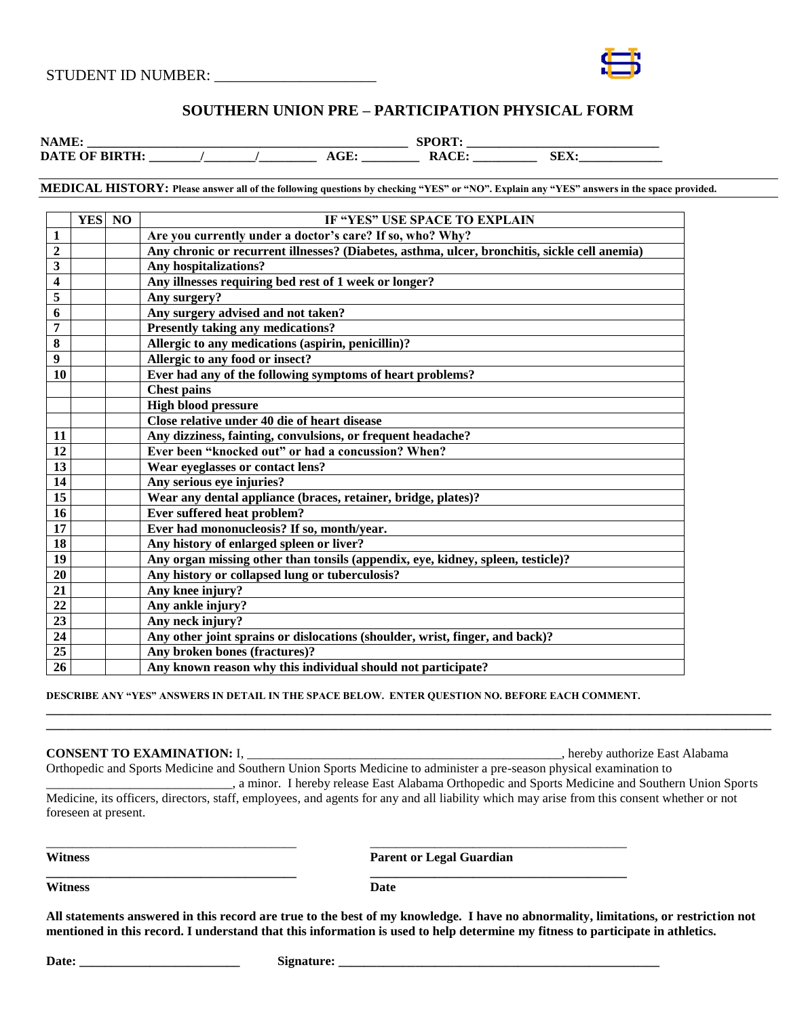

# **SOUTHERN UNION PRE – PARTICIPATION PHYSICAL FORM**

| $\mathbf{N}^{\prime}$<br>. |   | ъ.<br>້<br>$\sim$ | ______ |  |
|----------------------------|---|-------------------|--------|--|
| DA                         | . | $\sim$ $\sim$     | .      |  |

**MEDICAL HISTORY: Please answer all of the following questions by checking "YES" or "NO". Explain any "YES" answers in the space provided.**

|                         | YES NO | IF "YES" USE SPACE TO EXPLAIN                                                                 |
|-------------------------|--------|-----------------------------------------------------------------------------------------------|
| $\mathbf{1}$            |        | Are you currently under a doctor's care? If so, who? Why?                                     |
| $\overline{2}$          |        | Any chronic or recurrent illnesses? (Diabetes, asthma, ulcer, bronchitis, sickle cell anemia) |
| $\overline{\mathbf{3}}$ |        | Any hospitalizations?                                                                         |
| 4                       |        | Any illnesses requiring bed rest of 1 week or longer?                                         |
| 5                       |        | Any surgery?                                                                                  |
| 6                       |        | Any surgery advised and not taken?                                                            |
| 7                       |        | <b>Presently taking any medications?</b>                                                      |
| 8                       |        | Allergic to any medications (aspirin, penicillin)?                                            |
| 9                       |        | Allergic to any food or insect?                                                               |
| 10                      |        | Ever had any of the following symptoms of heart problems?                                     |
|                         |        | <b>Chest pains</b>                                                                            |
|                         |        | <b>High blood pressure</b>                                                                    |
|                         |        | Close relative under 40 die of heart disease                                                  |
| 11                      |        | Any dizziness, fainting, convulsions, or frequent headache?                                   |
| 12                      |        | Ever been "knocked out" or had a concussion? When?                                            |
| $\overline{13}$         |        | Wear eyeglasses or contact lens?                                                              |
| $\overline{14}$         |        | Any serious eye injuries?                                                                     |
| 15                      |        | Wear any dental appliance (braces, retainer, bridge, plates)?                                 |
| 16                      |        | Ever suffered heat problem?                                                                   |
| $\overline{17}$         |        | Ever had mononucleosis? If so, month/year.                                                    |
| 18                      |        | Any history of enlarged spleen or liver?                                                      |
| 19                      |        | Any organ missing other than tonsils (appendix, eye, kidney, spleen, testicle)?               |
| 20                      |        | Any history or collapsed lung or tuberculosis?                                                |
| 21                      |        | Any knee injury?                                                                              |
| 22                      |        | Any ankle injury?                                                                             |
| 23                      |        | Any neck injury?                                                                              |
| 24                      |        | Any other joint sprains or dislocations (shoulder, wrist, finger, and back)?                  |
| 25                      |        | Any broken bones (fractures)?                                                                 |
| 26                      |        | Any known reason why this individual should not participate?                                  |

**DESCRIBE ANY "YES" ANSWERS IN DETAIL IN THE SPACE BELOW. ENTER QUESTION NO. BEFORE EACH COMMENT.**

\_\_\_\_\_\_\_\_\_\_\_\_\_\_\_\_\_\_\_\_\_\_\_\_\_\_\_\_\_\_\_\_\_\_\_\_\_\_\_ \_\_\_\_\_\_\_\_\_\_\_\_\_\_\_\_\_\_\_\_\_\_\_\_\_\_\_\_\_\_\_\_\_\_\_\_\_\_\_\_

**\_\_\_\_\_\_\_\_\_\_\_\_\_\_\_\_\_\_\_\_\_\_\_\_\_\_\_\_\_\_\_\_\_\_\_\_\_\_\_ \_\_\_\_\_\_\_\_\_\_\_\_\_\_\_\_\_\_\_\_\_\_\_\_\_\_\_\_\_\_\_\_\_\_\_\_\_\_\_\_**

## **CONSENT TO EXAMINATION:** I, \_\_\_\_\_\_\_\_\_\_\_\_\_\_\_\_\_\_\_\_\_\_\_\_\_\_\_\_\_\_\_\_\_\_\_\_\_\_\_\_\_\_\_\_\_\_\_\_\_, hereby authorize East Alabama

Orthopedic and Sports Medicine and Southern Union Sports Medicine to administer a pre-season physical examination to \_\_\_\_\_\_\_\_\_\_\_\_\_\_\_\_\_\_\_\_\_\_\_\_\_\_\_\_\_, a minor. I hereby release East Alabama Orthopedic and Sports Medicine and Southern Union Sports

Medicine, its officers, directors, staff, employees, and agents for any and all liability which may arise from this consent whether or not foreseen at present.

**\_\_\_\_\_\_\_\_\_\_\_\_\_\_\_\_\_\_\_\_\_\_\_\_\_\_\_\_\_\_\_\_\_\_\_\_\_\_\_\_\_\_\_\_\_\_\_\_\_\_\_\_\_\_\_\_\_\_\_\_\_\_\_\_\_\_\_\_\_\_\_\_\_\_\_\_\_\_\_\_\_\_\_\_\_\_\_\_\_\_\_\_\_\_\_\_\_\_\_\_\_\_\_\_\_\_\_\_\_\_\_\_\_ \_\_\_\_\_\_\_\_\_\_\_\_\_\_\_\_\_\_\_\_\_\_\_\_\_\_\_\_\_\_\_\_\_\_\_\_\_\_\_\_\_\_\_\_\_\_\_\_\_\_\_\_\_\_\_\_\_\_\_\_\_\_\_\_\_\_\_\_\_\_\_\_\_\_\_\_\_\_\_\_\_\_\_\_\_\_\_\_\_\_\_\_\_\_\_\_\_\_\_\_\_\_\_\_\_\_\_\_\_\_\_\_\_**

**Witness Parent or Legal Guardian**

**Witness Date**

**All statements answered in this record are true to the best of my knowledge. I have no abnormality, limitations, or restriction not mentioned in this record. I understand that this information is used to help determine my fitness to participate in athletics.**

**Date: \_\_\_\_\_\_\_\_\_\_\_\_\_\_\_\_\_\_\_\_\_\_\_\_\_ Signature: \_\_\_\_\_\_\_\_\_\_\_\_\_\_\_\_\_\_\_\_\_\_\_\_\_\_\_\_\_\_\_\_\_\_\_\_\_\_\_\_\_\_\_\_\_\_\_\_\_\_**